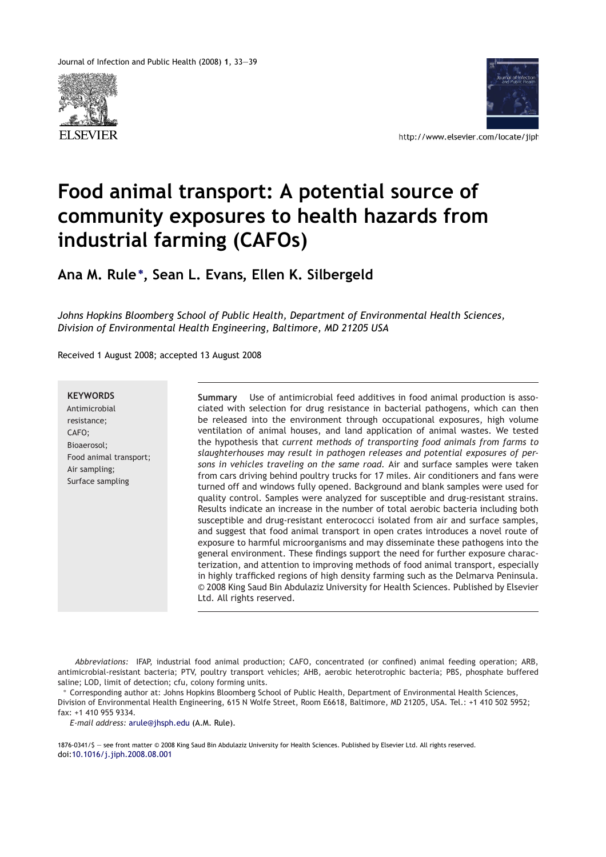Journal of Infection and Public Health (2008) **1**, 33—39





http://www.elsevier.com/locate/jiph

# **Food animal transport: A potential source of community exposures to health hazards from industrial farming (CAFOs)**

**Ana M. Rule**<sup>∗</sup> **, Sean L. Evans, Ellen K. Silbergeld**

*Johns Hopkins Bloomberg School of Public Health, Department of Environmental Health Sciences, Division of Environmental Health Engineering, Baltimore, MD 21205 USA*

Received 1 August 2008; accepted 13 August 2008

**KEYWORDS** Antimicrobial resistance; CAFO; Bioaerosol; Food animal transport; Air sampling; Surface sampling

**Summary** Use of antimicrobial feed additives in food animal production is associated with selection for drug resistance in bacterial pathogens, which can then be released into the environment through occupational exposures, high volume ventilation of animal houses, and land application of animal wastes. We tested the hypothesis that *current methods of transporting food animals from farms to slaughterhouses may result in pathogen releases and potential exposures of persons in vehicles traveling on the same road.* Air and surface samples were taken from cars driving behind poultry trucks for 17 miles. Air conditioners and fans were turned off and windows fully opened. Background and blank samples were used for quality control. Samples were analyzed for susceptible and drug-resistant strains. Results indicate an increase in the number of total aerobic bacteria including both susceptible and drug-resistant enterococci isolated from air and surface samples, and suggest that food animal transport in open crates introduces a novel route of exposure to harmful microorganisms and may disseminate these pathogens into the general environment. These findings support the need for further exposure characterization, and attention to improving methods of food animal transport, especially in highly trafficked regions of high density farming such as the Delmarva Peninsula. © 2008 King Saud Bin Abdulaziz University for Health Sciences. Published by Elsevier Ltd. All rights reserved.

*Abbreviations:* IFAP, industrial food animal production; CAFO, concentrated (or confined) animal feeding operation; ARB, antimicrobial-resistant bacteria; PTV, poultry transport vehicles; AHB, aerobic heterotrophic bacteria; PBS, phosphate buffered saline; LOD, limit of detection; cfu, colony forming units.

<sup>∗</sup> Corresponding author at: Johns Hopkins Bloomberg School of Public Health, Department of Environmental Health Sciences, Division of Environmental Health Engineering, 615 N Wolfe Street, Room E6618, Baltimore, MD 21205, USA. Tel.: +1 410 502 5952; fax: +1 410 955 9334.

*E-mail address:* arule@jhsph.edu (A.M. Rule).

1876-0341/\$ — see front matter © 2008 King Saud Bin Abdulaziz University for Health Sciences. Published by Elsevier Ltd. All rights reserved. doi:10.1016/j.jiph.2008.08.001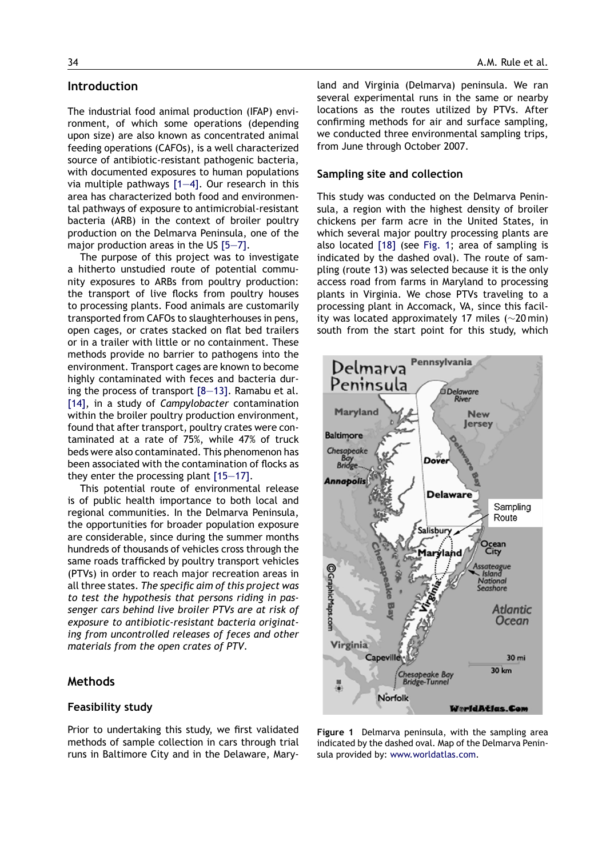## **Introduction**

The industrial food animal production (IFAP) environment, of which some operations (depending upon size) are also known as concentrated animal feeding operations (CAFOs), is a well characterized source of antibiotic-resistant pathogenic bacteria, with documented exposures to human populations via multiple pathways [1—4]. Our research in this area has characterized both food and environmental pathways of exposure to antimicrobial-resistant bacteria (ARB) in the context of broiler poultry production on the Delmarva Peninsula, one of the major production areas in the US [5—7].

The purpose of this project was to investigate a hitherto unstudied route of potential community exposures to ARBs from poultry production: the transport of live flocks from poultry houses to processing plants. Food animals are customarily transported from CAFOs to slaughterhouses in pens, open cages, or crates stacked on flat bed trailers or in a trailer with little or no containment. These methods provide no barrier to pathogens into the environment. Transport cages are known to become highly contaminated with feces and bacteria during the process of transport [8—13]. Ramabu et al. [14], in a study of *Campylobacter* contamination within the broiler poultry production environment, found that after transport, poultry crates were contaminated at a rate of 75%, while 47% of truck beds were also contaminated. This phenomenon has been associated with the contamination of flocks as they enter the processing plant [15—17].

This potential route of environmental release is of public health importance to both local and regional communities. In the Delmarva Peninsula, the opportunities for broader population exposure are considerable, since during the summer months hundreds of thousands of vehicles cross through the same roads trafficked by poultry transport vehicles (PTVs) in order to reach major recreation areas in all three states. *The specific aim of this project was to test the hypothesis that persons riding in passenger cars behind live broiler PTVs are at risk of exposure to antibiotic-resistant bacteria originating from uncontrolled releases of feces and other materials from the open crates of PTV*.

## **Methods**

## **Feasibility study**

Prior to undertaking this study, we first validated methods of sample collection in cars through trial runs in Baltimore City and in the Delaware, Maryland and Virginia (Delmarva) peninsula. We ran several experimental runs in the same or nearby locations as the routes utilized by PTVs. After confirming methods for air and surface sampling, we conducted three environmental sampling trips, from June through October 2007.

### **Sampling site and collection**

This study was conducted on the Delmarva Peninsula, a region with the highest density of broiler chickens per farm acre in the United States, in which several major poultry processing plants are also located [18] (see Fig. 1; area of sampling is indicated by the dashed oval). The route of sampling (route 13) was selected because it is the only access road from farms in Maryland to processing plants in Virginia. We chose PTVs traveling to a processing plant in Accomack, VA, since this facility was located approximately 17 miles (∼20 min) south from the start point for this study, which



**Figure 1** Delmarva peninsula, with the sampling area indicated by the dashed oval. Map of the Delmarva Peninsula provided by: www.worldatlas.com.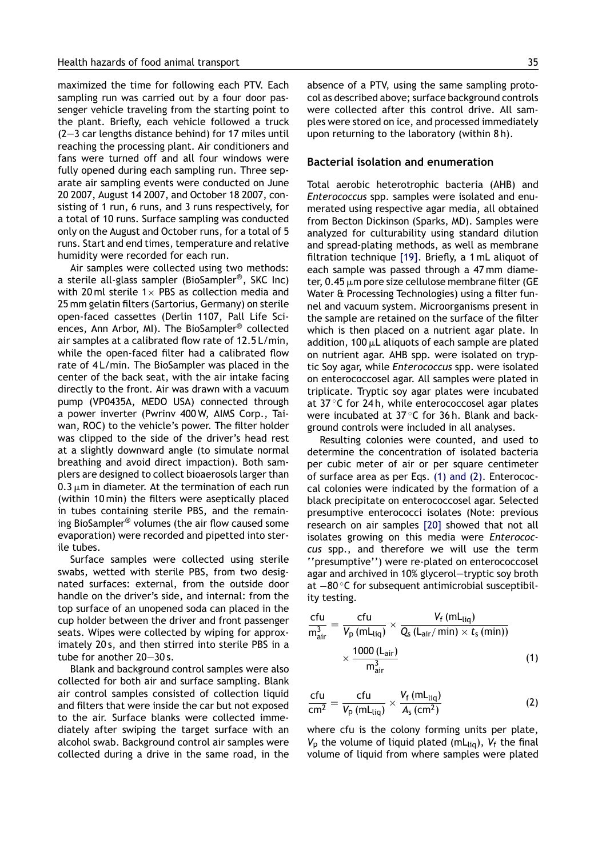maximized the time for following each PTV. Each sampling run was carried out by a four door passenger vehicle traveling from the starting point to the plant. Briefly, each vehicle followed a truck (2—3 car lengths distance behind) for 17 miles until reaching the processing plant. Air conditioners and fans were turned off and all four windows were fully opened during each sampling run. Three separate air sampling events were conducted on June 20 2007, August 14 2007, and October 18 2007, consisting of 1 run, 6 runs, and 3 runs respectively, for a total of 10 runs. Surface sampling was conducted only on the August and October runs, for a total of 5 runs. Start and end times, temperature and relative humidity were recorded for each run.

Air samples were collected using two methods: a sterile all-glass sampler (BioSampler®, SKC Inc) with 20 ml sterile  $1 \times$  PBS as collection media and 25 mm gelatin filters (Sartorius, Germany) on sterile open-faced cassettes (Derlin 1107, Pall Life Sciences, Ann Arbor, MI). The BioSampler® collected air samples at a calibrated flow rate of 12.5 L/min, while the open-faced filter had a calibrated flow rate of 4 L/min. The BioSampler was placed in the center of the back seat, with the air intake facing directly to the front. Air was drawn with a vacuum pump (VP0435A, MEDO USA) connected through a power inverter (Pwrinv 400 W, AIMS Corp., Taiwan, ROC) to the vehicle's power. The filter holder was clipped to the side of the driver's head rest at a slightly downward angle (to simulate normal breathing and avoid direct impaction). Both samplers are designed to collect bioaerosols larger than  $0.3 \mu$ m in diameter. At the termination of each run (within 10 min) the filters were aseptically placed in tubes containing sterile PBS, and the remaining BioSampler® volumes (the air flow caused some evaporation) were recorded and pipetted into sterile tubes.

Surface samples were collected using sterile swabs, wetted with sterile PBS, from two designated surfaces: external, from the outside door handle on the driver's side, and internal: from the top surface of an unopened soda can placed in the cup holder between the driver and front passenger seats. Wipes were collected by wiping for approximately 20 s, and then stirred into sterile PBS in a tube for another 20—30 s.

Blank and background control samples were also collected for both air and surface sampling. Blank air control samples consisted of collection liquid and filters that were inside the car but not exposed to the air. Surface blanks were collected immediately after swiping the target surface with an alcohol swab. Background control air samples were collected during a drive in the same road, in the absence of a PTV, using the same sampling protocol as described above; surface background controls were collected after this control drive. All samples were stored on ice, and processed immediately upon returning to the laboratory (within 8 h).

#### **Bacterial isolation and enumeration**

Total aerobic heterotrophic bacteria (AHB) and *Enterococcus* spp. samples were isolated and enumerated using respective agar media, all obtained from Becton Dickinson (Sparks, MD). Samples were analyzed for culturability using standard dilution and spread-plating methods, as well as membrane filtration technique [19]. Briefly, a 1 mL aliquot of each sample was passed through a 47 mm diameter, 0.45  $\mu$ m pore size cellulose membrane filter (GE Water & Processing Technologies) using a filter funnel and vacuum system. Microorganisms present in the sample are retained on the surface of the filter which is then placed on a nutrient agar plate. In addition, 100  $\mu$ L aliquots of each sample are plated on nutrient agar. AHB spp. were isolated on tryptic Soy agar, while *Enterococcus* spp. were isolated on enterococcosel agar. All samples were plated in triplicate. Tryptic soy agar plates were incubated at 37 ◦C for 24 h, while enterococcosel agar plates were incubated at 37 ℃ for 36 h. Blank and background controls were included in all analyses.

Resulting colonies were counted, and used to determine the concentration of isolated bacteria per cubic meter of air or per square centimeter of surface area as per Eqs. (1) and (2). Enterococcal colonies were indicated by the formation of a black precipitate on enterococcosel agar. Selected presumptive enterococci isolates (Note: previous research on air samples [20] showed that not all isolates growing on this media were *Enterococcus* spp., and therefore we will use the term ''presumptive'') were re-plated on enterococcosel agar and archived in 10% glycerol—tryptic soy broth at −80 ◦C for subsequent antimicrobial susceptibility testing.

$$
\frac{\text{cfu}}{\text{m}_{\text{air}}^3} = \frac{\text{cfu}}{V_{\text{p}} \left(\text{mL}_{\text{liq}}\right)} \times \frac{V_{\text{f}} \left(\text{mL}_{\text{liq}}\right)}{Q_{\text{s}} \left(\text{L}_{\text{air}}/\text{min}\right) \times t_{\text{s}} \left(\text{min}\right))} \times \frac{1000 \left(\text{L}_{\text{air}}\right)}{\text{m}_{\text{air}}^3} \tag{1}
$$

$$
\frac{\text{ctu}}{\text{cm}^2} = \frac{\text{ctu}}{V_p \text{ (mLliq)}} \times \frac{V_f \text{ (mLliq)}}{A_s \text{ (cm}^2)} \tag{2}
$$

where cfu is the colony forming units per plate,  $V<sub>p</sub>$  the volume of liquid plated (mL<sub>liq</sub>),  $V<sub>f</sub>$  the final volume of liquid from where samples were plated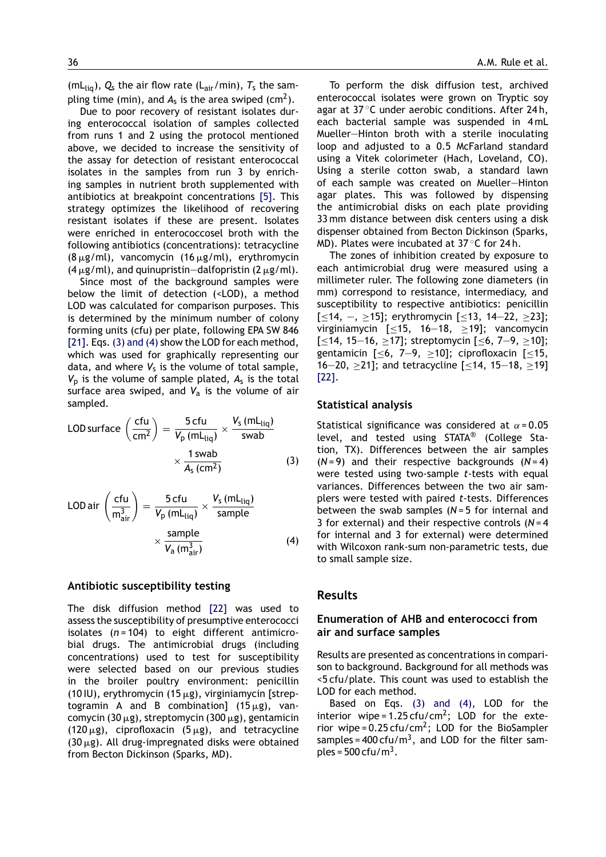(mL<sub>liq</sub>),  $Q_s$  the air flow rate (L<sub>air</sub>/min),  $T_s$  the sampling time (min), and  $A_s$  is the area swiped (cm<sup>2</sup>).

Due to poor recovery of resistant isolates during enterococcal isolation of samples collected from runs 1 and 2 using the protocol mentioned above, we decided to increase the sensitivity of the assay for detection of resistant enterococcal isolates in the samples from run 3 by enriching samples in nutrient broth supplemented with antibiotics at breakpoint concentrations [5]. This strategy optimizes the likelihood of recovering resistant isolates if these are present. Isolates were enriched in enterococcosel broth with the following antibiotics (concentrations): tetracycline  $(8 \mu g/ml)$ , vancomycin  $(16 \mu g/ml)$ , erythromycin  $(4 \mu g/ml)$ , and quinupristin—dalfopristin  $(2 \mu g/ml)$ .

Since most of the background samples were below the limit of detection (<LOD), a method LOD was calculated for comparison purposes. This is determined by the minimum number of colony forming units (cfu) per plate, following EPA SW 846 [21]. Eqs. (3) and (4) show the LOD for each method, which was used for graphically representing our data, and where  $V_s$  is the volume of total sample,  $V_p$  is the volume of sample plated,  $A_s$  is the total surface area swiped, and  $V_a$  is the volume of air sampled.

$$
LOD surface \left(\frac{cfu}{cm^2}\right) = \frac{5 cfu}{V_p (mL_{liq})} \times \frac{V_s (mL_{liq})}{swab} \times \frac{1 swab}{A_s (cm^2)}
$$
(3)

$$
LOD air \left(\frac{cfu}{m_{air}^3}\right) = \frac{5 cfu}{V_p (mL_{liq})} \times \frac{V_s (mL_{liq})}{sample} \times \frac{sample}{V_a (m_{air}^3)}
$$
(4)

## **Antibiotic susceptibility testing**

The disk diffusion method [22] was used to assess the susceptibility of presumptive enterococci isolates (*n* = 104) to eight different antimicrobial drugs. The antimicrobial drugs (including concentrations) used to test for susceptibility were selected based on our previous studies in the broiler poultry environment: penicillin (10 IU), erythromycin (15  $\mu$ g), virginiamycin [streptogramin A and B combination]  $(15 \mu g)$ , vancomycin (30  $\mu$ g), streptomycin (300  $\mu$ g), gentamicin (120  $\mu$ g), ciprofloxacin (5  $\mu$ g), and tetracycline (30  $\mu$ g). All drug-impregnated disks were obtained from Becton Dickinson (Sparks, MD).

To perform the disk diffusion test, archived enterococcal isolates were grown on Tryptic soy agar at 37 ◦C under aerobic conditions. After 24 h, each bacterial sample was suspended in 4 mL Mueller—Hinton broth with a sterile inoculating loop and adjusted to a 0.5 McFarland standard using a Vitek colorimeter (Hach, Loveland, CO). Using a sterile cotton swab, a standard lawn of each sample was created on Mueller—Hinton agar plates. This was followed by dispensing the antimicrobial disks on each plate providing 33 mm distance between disk centers using a disk dispenser obtained from Becton Dickinson (Sparks, MD). Plates were incubated at 37 ◦C for 24 h.

The zones of inhibition created by exposure to each antimicrobial drug were measured using a millimeter ruler. The following zone diameters (in mm) correspond to resistance, intermediacy, and susceptibility to respective antibiotics: penicillin [<14, -, >15]; erythromycin [<13, 14-22, >23]; virginiamycin [≤15, 16—18, ≥19]; vancomycin [≤14, 15—16, ≥17]; streptomycin [≤6, 7—9, ≥10]; gentamicin  $\left[\leq 6, 7-9, \geq 10\right]$ ; ciprofloxacin  $\left[\leq 15, 7-9, 12\right]$ 16—20, ≥21]; and tetracycline [≤14, 15—18, ≥19] [22].

## **Statistical analysis**

Statistical significance was considered at  $\alpha$  = 0.05 level, and tested using STATA® (College Station, TX). Differences between the air samples (*N* = 9) and their respective backgrounds (*N* = 4) were tested using two-sample *t*-tests with equal variances. Differences between the two air samplers were tested with paired *t*-tests. Differences between the swab samples (*N* = 5 for internal and 3 for external) and their respective controls (*N* = 4 for internal and 3 for external) were determined with Wilcoxon rank-sum non-parametric tests, due to small sample size.

## **Results**

## **Enumeration of AHB and enterococci from air and surface samples**

Results are presented as concentrations in comparison to background. Background for all methods was <5 cfu/plate. This count was used to establish the LOD for each method.

Based on Eqs. (3) and (4), LOD for the interior wipe =  $1.25 \text{ c}$ fu/cm<sup>2</sup>; LOD for the exterior wipe=0.25 cfu/cm<sup>2</sup>; LOD for the BioSampler samples = 400 cfu/m<sup>3</sup>, and LOD for the filter samples =  $500$  cfu/m<sup>3</sup>.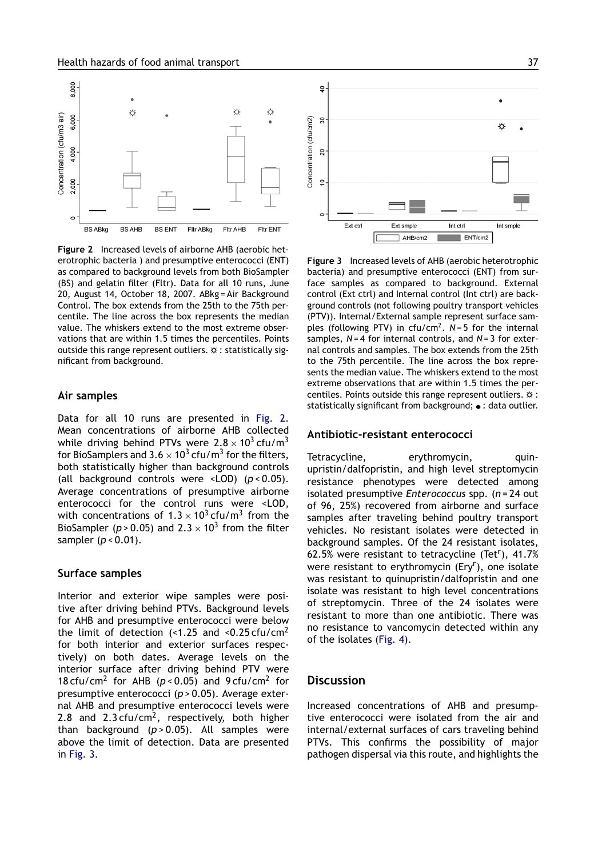

**Figure 2** Increased levels of airborne AHB (aerobic heterotrophic bacteria ) and presumptive enterococci (ENT) as compared to background levels from both BioSampler (BS) and gelatin filter (Fltr). Data for all 10 runs, June 20, August 14, October 18, 2007. ABkg = Air Background Control. The box extends from the 25th to the 75th percentile. The line across the box represents the median value. The whiskers extend to the most extreme observations that are within 1.5 times the percentiles. Points outside this range represent outliers.  $\infty$  : statistically significant from background.

### **Air samples**

Data for all 10 runs are presented in Fig. 2. Mean concentrations of airborne AHB collected while driving behind PTVs were  $2.8 \times 10^3$  cfu/m<sup>3</sup> for BioSamplers and 3.6  $\times$  10<sup>3</sup> cfu/m<sup>3</sup> for the filters, both statistically higher than background controls (all background controls were <LOD) (*p* < 0.05). Average concentrations of presumptive airborne enterococci for the control runs were <LOD, with concentrations of 1.3  $\times$  10<sup>3</sup> cfu/m<sup>3</sup> from the BioSampler (p>0.05) and 2.3  $\times$  10<sup>3</sup> from the filter sampler (*p* < 0.01).

### **Surface samples**

Interior and exterior wipe samples were positive after driving behind PTVs. Background levels for AHB and presumptive enterococci were below the limit of detection (<1.25 and <0.25 cfu/cm<sup>2</sup> for both interior and exterior surfaces respectively) on both dates. Average levels on the interior surface after driving behind PTV were 18 cfu/cm<sup>2</sup> for AHB ( $p < 0.05$ ) and 9 cfu/cm<sup>2</sup> for presumptive enterococci (*p* > 0.05). Average external AHB and presumptive enterococci levels were 2.8 and 2.3 cfu/cm<sup>2</sup>, respectively, both higher than background (*p* > 0.05). All samples were above the limit of detection. Data are presented in Fig. 3.



**Figure 3** Increased levels of AHB (aerobic heterotrophic bacteria) and presumptive enterococci (ENT) from surface samples as compared to background. External control (Ext ctrl) and Internal control (Int ctrl) are background controls (not following poultry transport vehicles (PTV)). Internal/External sample represent surface samples (following PTV) in cfu/cm<sup>2</sup>. N=5 for the internal samples, *N* = 4 for internal controls, and *N* = 3 for external controls and samples. The box extends from the 25th to the 75th percentile. The line across the box represents the median value. The whiskers extend to the most extreme observations that are within 1.5 times the percentiles. Points outside this range represent outliers.  $\hat{\varphi}$  : statistically significant from background; • : data outlier.

#### **Antibiotic-resistant enterococci**

Tetracycline, erythromycin, quinupristin/dalfopristin, and high level streptomycin resistance phenotypes were detected among isolated presumptive *Enterococcus* spp. (*n* = 24 out of 96, 25%) recovered from airborne and surface samples after traveling behind poultry transport vehicles. No resistant isolates were detected in background samples. Of the 24 resistant isolates, 62.5% were resistant to tetracycline (Tet<sup>r</sup>), 41.7% were resistant to erythromycin (Ery<sup>r</sup>), one isolate was resistant to quinupristin/dalfopristin and one isolate was resistant to high level concentrations of streptomycin. Three of the 24 isolates were resistant to more than one antibiotic. There was no resistance to vancomycin detected within any of the isolates (Fig. 4).

## **Discussion**

Increased concentrations of AHB and presumptive enterococci were isolated from the air and internal/external surfaces of cars traveling behind PTVs. This confirms the possibility of major pathogen dispersal via this route, and highlights the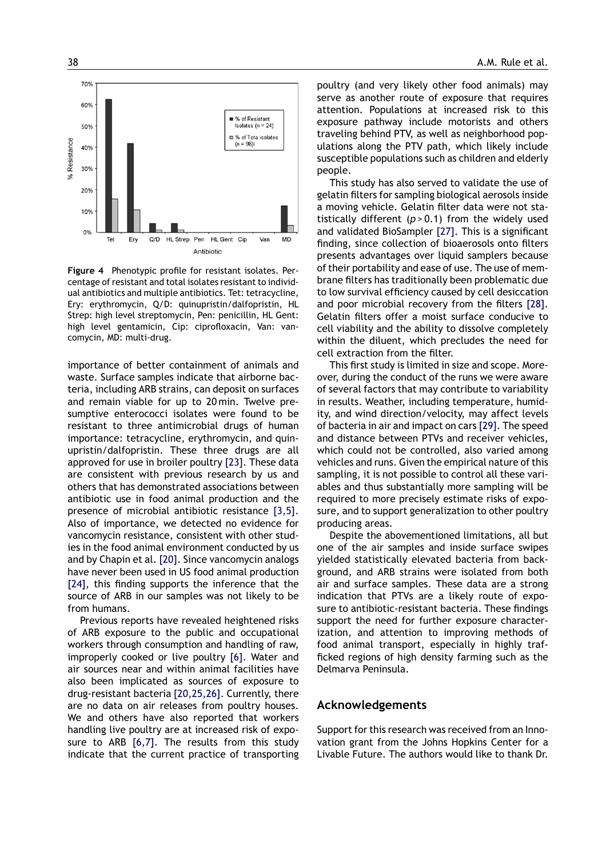

**Figure 4** Phenotypic profile for resistant isolates. Percentage of resistant and total isolates resistant to individual antibiotics and multiple antibiotics. Tet: tetracycline, Ery: erythromycin, Q/D: quinupristin/dalfopristin, HL Strep: high level streptomycin, Pen: penicillin, HL Gent: high level gentamicin, Cip: ciprofloxacin, Van: vancomycin, MD: multi-drug.

importance of better containment of animals and waste. Surface samples indicate that airborne bacteria, including ARB strains, can deposit on surfaces and remain viable for up to 20 min. Twelve presumptive enterococci isolates were found to be resistant to three antimicrobial drugs of human importance: tetracycline, erythromycin, and quinupristin/dalfopristin. These three drugs are all approved for use in broiler poultry [23]. These data are consistent with previous research by us and others that has demonstrated associations between antibiotic use in food animal production and the presence of microbial antibiotic resistance [3,5]. Also of importance, we detected no evidence for vancomycin resistance, consistent with other studies in the food animal environment conducted by us and by Chapin et al. [20]. Since vancomycin analogs have never been used in US food animal production [24], this finding supports the inference that the source of ARB in our samples was not likely to be from humans.

Previous reports have revealed heightened risks of ARB exposure to the public and occupational workers through consumption and handling of raw, improperly cooked or live poultry [6]. Water and air sources near and within animal facilities have also been implicated as sources of exposure to drug-resistant bacteria [20,25,26]. Currently, there are no data on air releases from poultry houses. We and others have also reported that workers handling live poultry are at increased risk of exposure to ARB [6,7]. The results from this study indicate that the current practice of transporting

poultry (and very likely other food animals) may serve as another route of exposure that requires attention. Populations at increased risk to this exposure pathway include motorists and others traveling behind PTV, as well as neighborhood populations along the PTV path, which likely include susceptible populations such as children and elderly people.

This study has also served to validate the use of gelatin filters for sampling biological aerosols inside a moving vehicle. Gelatin filter data were not statistically different (*p* > 0.1) from the widely used and validated BioSampler [27]. This is a significant finding, since collection of bioaerosols onto filters presents advantages over liquid samplers because of their portability and ease of use. The use of membrane filters has traditionally been problematic due to low survival efficiency caused by cell desiccation and poor microbial recovery from the filters [28]. Gelatin filters offer a moist surface conducive to cell viability and the ability to dissolve completely within the diluent, which precludes the need for cell extraction from the filter.

This first study is limited in size and scope. Moreover, during the conduct of the runs we were aware of several factors that may contribute to variability in results. Weather, including temperature, humidity, and wind direction/velocity, may affect levels of bacteria in air and impact on cars [29]. The speed and distance between PTVs and receiver vehicles, which could not be controlled, also varied among vehicles and runs. Given the empirical nature of this sampling, it is not possible to control all these variables and thus substantially more sampling will be required to more precisely estimate risks of exposure, and to support generalization to other poultry producing areas.

Despite the abovementioned limitations, all but one of the air samples and inside surface swipes yielded statistically elevated bacteria from background, and ARB strains were isolated from both air and surface samples. These data are a strong indication that PTVs are a likely route of exposure to antibiotic-resistant bacteria. These findings support the need for further exposure characterization, and attention to improving methods of food animal transport, especially in highly trafficked regions of high density farming such as the Delmarva Peninsula.

#### **Acknowledgements**

Support for this research was received from an Innovation grant from the Johns Hopkins Center for a Livable Future. The authors would like to thank Dr.